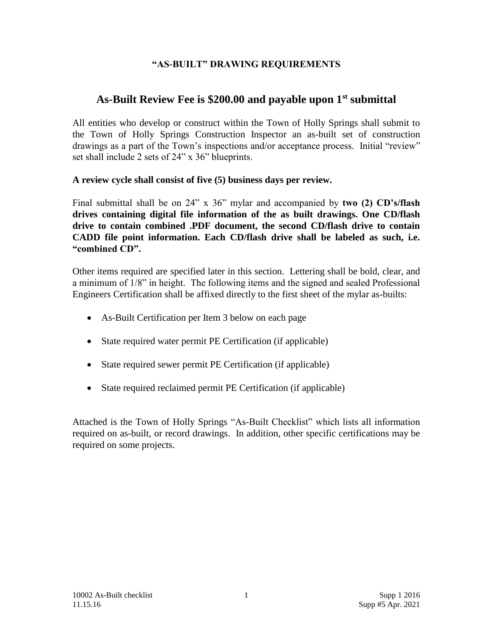## **"AS-BUILT" DRAWING REQUIREMENTS**

# **As-Built Review Fee is \$200.00 and payable upon 1st submittal**

All entities who develop or construct within the Town of Holly Springs shall submit to the Town of Holly Springs Construction Inspector an as-built set of construction drawings as a part of the Town's inspections and/or acceptance process. Initial "review" set shall include 2 sets of 24" x 36" blueprints.

## **A review cycle shall consist of five (5) business days per review.**

Final submittal shall be on 24" x 36" mylar and accompanied by **two (2) CD's/flash drives containing digital file information of the as built drawings. One CD/flash drive to contain combined .PDF document, the second CD/flash drive to contain CADD file point information. Each CD/flash drive shall be labeled as such, i.e. "combined CD".** 

Other items required are specified later in this section. Lettering shall be bold, clear, and a minimum of 1/8" in height. The following items and the signed and sealed Professional Engineers Certification shall be affixed directly to the first sheet of the mylar as-builts:

- As-Built Certification per Item 3 below on each page
- State required water permit PE Certification (if applicable)
- State required sewer permit PE Certification (if applicable)
- State required reclaimed permit PE Certification (if applicable)

Attached is the Town of Holly Springs "As-Built Checklist" which lists all information required on as-built, or record drawings. In addition, other specific certifications may be required on some projects.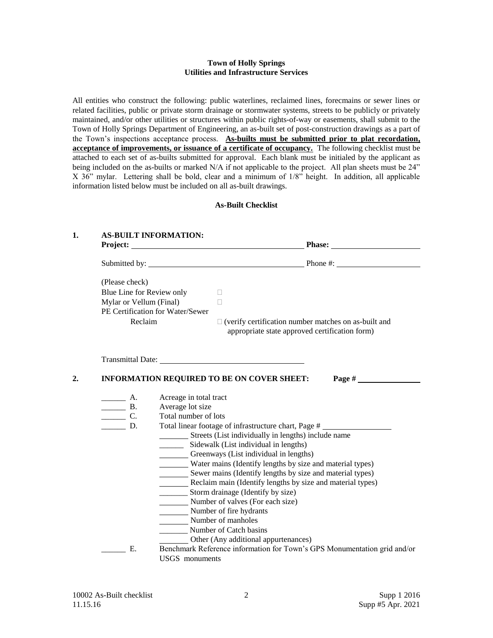#### **Town of Holly Springs Utilities and Infrastructure Services**

All entities who construct the following: public waterlines, reclaimed lines, forecmains or sewer lines or related facilities, public or private storm drainage or stormwater systems, streets to be publicly or privately maintained, and/or other utilities or structures within public rights-of-way or easements, shall submit to the Town of Holly Springs Department of Engineering, an as-built set of post-construction drawings as a part of the Town's inspections acceptance process. **As-builts must be submitted prior to plat recordation, acceptance of improvements, or issuance of a certificate of occupancy.** The following checklist must be attached to each set of as-builts submitted for approval. Each blank must be initialed by the applicant as being included on the as-builts or marked N/A if not applicable to the project. All plan sheets must be 24" X 36" mylar. Lettering shall be bold, clear and a minimum of 1/8" height. In addition, all applicable information listed below must be included on all as-built drawings.

#### **As-Built Checklist**

## **1. AS-BUILT INFORMATION: Project:** Project: **Phase:** Phase: **Phase:** Phase: **Phase:** Phase: **Phase:** Phase: **Phase:** Phase: **Phase:** Phase: Phase: Phase: Phase: Phase: Phase: Phase: Phase: Phase: Phase: Phase: Phase: Phase: Phase: Phase: Phase: P Submitted by: Phone #: (Please check) Blue Line for Review only  $\Box$ Mylar or Vellum (Final) PE Certification for Water/Sewer Reclaim  $\Box$  (verify certification number matches on as-built and appropriate state approved certification form) Transmittal Date: **2. INFORMATION REQUIRED TO BE ON COVER SHEET: Page #**  A. Acreage in total tract **EXECUTE:** B. Average lot size<br> **C.** Total number of Total number of lots \_\_\_\_\_\_ D. Total linear footage of infrastructure chart, Page # Streets (List individually in lengths) include name \_\_\_\_\_\_ Sidewalk (List individual in lengths) Greenways (List individual in lengths) Water mains (Identify lengths by size and material types) Sewer mains (Identify lengths by size and material types) Reclaim main (Identify lengths by size and material types) \_\_\_\_\_\_\_ Storm drainage (Identify by size) Number of valves (For each size) Number of fire hydrants Number of manholes \_\_\_\_\_\_\_ Number of Catch basins Other (Any additional appurtenances) \_\_\_\_\_\_ E. Benchmark Reference information for Town's GPS Monumentation grid and/or USGS monuments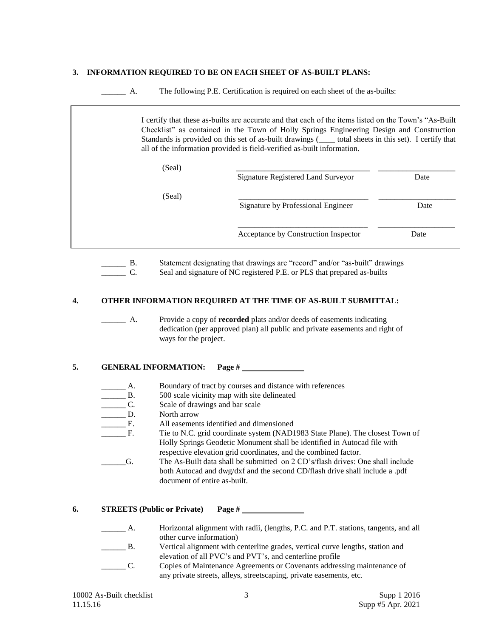#### **3. INFORMATION REQUIRED TO BE ON EACH SHEET OF AS-BUILT PLANS:**

A. The following P.E. Certification is required on each sheet of the as-builts:

|        | I certify that these as-builts are accurate and that each of the items listed on the Town's "As-Built"<br>Checklist" as contained in the Town of Holly Springs Engineering Design and Construction<br>Standards is provided on this set of as-built drawings (_____ total sheets in this set). I certify that<br>all of the information provided is field-verified as-built information. |      |
|--------|------------------------------------------------------------------------------------------------------------------------------------------------------------------------------------------------------------------------------------------------------------------------------------------------------------------------------------------------------------------------------------------|------|
| (Seal) | Signature Registered Land Surveyor                                                                                                                                                                                                                                                                                                                                                       | Date |
| (Seal) | Signature by Professional Engineer                                                                                                                                                                                                                                                                                                                                                       | Date |
|        | Acceptance by Construction Inspector                                                                                                                                                                                                                                                                                                                                                     | Date |

\_\_\_\_\_\_ B. Statement designating that drawings are "record" and/or "as-built" drawings \_\_\_\_\_\_ C. Seal and signature of NC registered P.E. or PLS that prepared as-builts

#### **4. OTHER INFORMATION REQUIRED AT THE TIME OF AS-BUILT SUBMITTAL:**

\_\_\_\_\_\_ A. Provide a copy of **recorded** plats and/or deeds of easements indicating dedication (per approved plan) all public and private easements and right of ways for the project.

## **5. GENERAL INFORMATION: Page #**

- \_\_\_\_\_\_ A. Boundary of tract by courses and distance with references
- B. 500 scale vicinity map with site delineated<br>
C. Scale of drawings and bar scale
- Scale of drawings and bar scale
- D. North arrow
- \_\_\_\_\_\_ E. All easements identified and dimensioned
- \_\_\_\_\_\_ F. Tie to N.C. grid coordinate system (NAD1983 State Plane). The closest Town of Holly Springs Geodetic Monument shall be identified in Autocad file with respective elevation grid coordinates, and the combined factor.
- \_\_\_\_\_\_G. The As-Built data shall be submitted on 2 CD's/flash drives: One shall include both Autocad and dwg/dxf and the second CD/flash drive shall include a .pdf document of entire as-built.
- **6. STREETS (Public or Private) Page #** 
	- \_\_\_\_\_\_ A. Horizontal alignment with radii, (lengths, P.C. and P.T. stations, tangents, and all other curve information)
	- \_\_\_\_\_\_ B. Vertical alignment with centerline grades, vertical curve lengths, station and elevation of all PVC's and PVT's, and centerline profile
	- \_\_\_\_\_\_ C. Copies of Maintenance Agreements or Covenants addressing maintenance of any private streets, alleys, streetscaping, private easements, etc.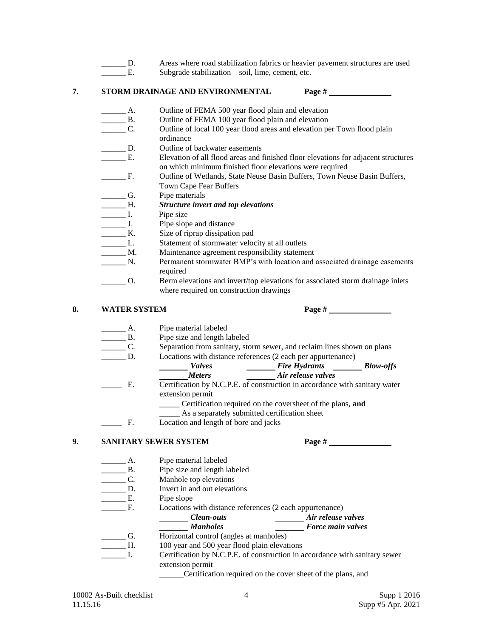- \_\_\_\_\_\_ D. Areas where road stabilization fabrics or heavier pavement structures are used
	- E. Subgrade stabilization soil, lime, cement, etc.

### **7. STORM DRAINAGE AND ENVIRONMENTAL Page #**

- 
- A. Outline of FEMA 500 year flood plain and elevation<br>
<u>B</u>. Outline of FEMA 100 year flood plain and elevation Outline of FEMA 100 year flood plain and elevation
- \_\_\_\_\_\_ C. Outline of local 100 year flood areas and elevation per Town flood plain ordinance
- **EXECUTE:** D. Outline of backwater easements
- E. Elevation of all flood areas and finished floor elevations for adjacent structures on which minimum finished floor elevations were required
- F. Outline of Wetlands, State Neuse Basin Buffers, Town Neuse Basin Buffers, Town Cape Fear Buffers
- G. Pipe materials
- \_\_\_\_\_\_ H. *Structure invert and top elevations*
- L. Pipe size
- \_\_\_\_\_\_ J. Pipe slope and distance
- **EXECUTE:** Size of riprap dissipation pad
- L. Statement of stormwater velocity at all outlets
- \_\_\_\_\_\_ M. Maintenance agreement responsibility statement
- \_\_\_\_\_\_ N. Permanent stormwater BMP's with location and associated drainage easements required
- \_\_\_\_\_\_ O. Berm elevations and invert/top elevations for associated storm drainage inlets where required on construction drawings

## **8. WATER SYSTEM Page #**

- \_\_\_\_\_\_ A. Pipe material labeled
- \_\_\_\_\_\_ B. Pipe size and length labeled
- \_\_\_\_\_\_ C. Separation from sanitary, storm sewer, and reclaim lines shown on plans
	- D. Locations with distance references (2 each per appurtenance)
		- *Valves Fire Hydrants Blow-offs Meters Air release valves*
- \_\_\_\_\_ E. Certification by N.C.P.E. of construction in accordance with sanitary water extension permit
	- \_\_\_\_\_ Certification required on the coversheet of the plans, **and**
	- \_\_\_\_\_ As a separately submitted certification sheet
	- F. Location and length of bore and jacks

### **9. SANITARY SEWER SYSTEM Page #**

- \_\_\_\_\_\_ A. Pipe material labeled
- **EXECUTE:** B. Pipe size and length labeled
- Manhole top elevations C. Manhole to<br>D. Invert in arc.<br>E. Pipe slope
- Invert in and out elevations
- 
- F. Locations with distance references (2 each appurtenance)
	- *Clean-outs Air release valves*
		- *Manholes Force main valves*
- \_\_\_\_\_\_ G. Horizontal control (angles at manholes)
- \_\_\_\_\_\_ H. 100 year and 500 year flood plain elevations
- I. Certification by N.C.P.E. of construction in accordance with sanitary sewer extension permit
	- \_\_\_\_\_\_Certification required on the cover sheet of the plans, and